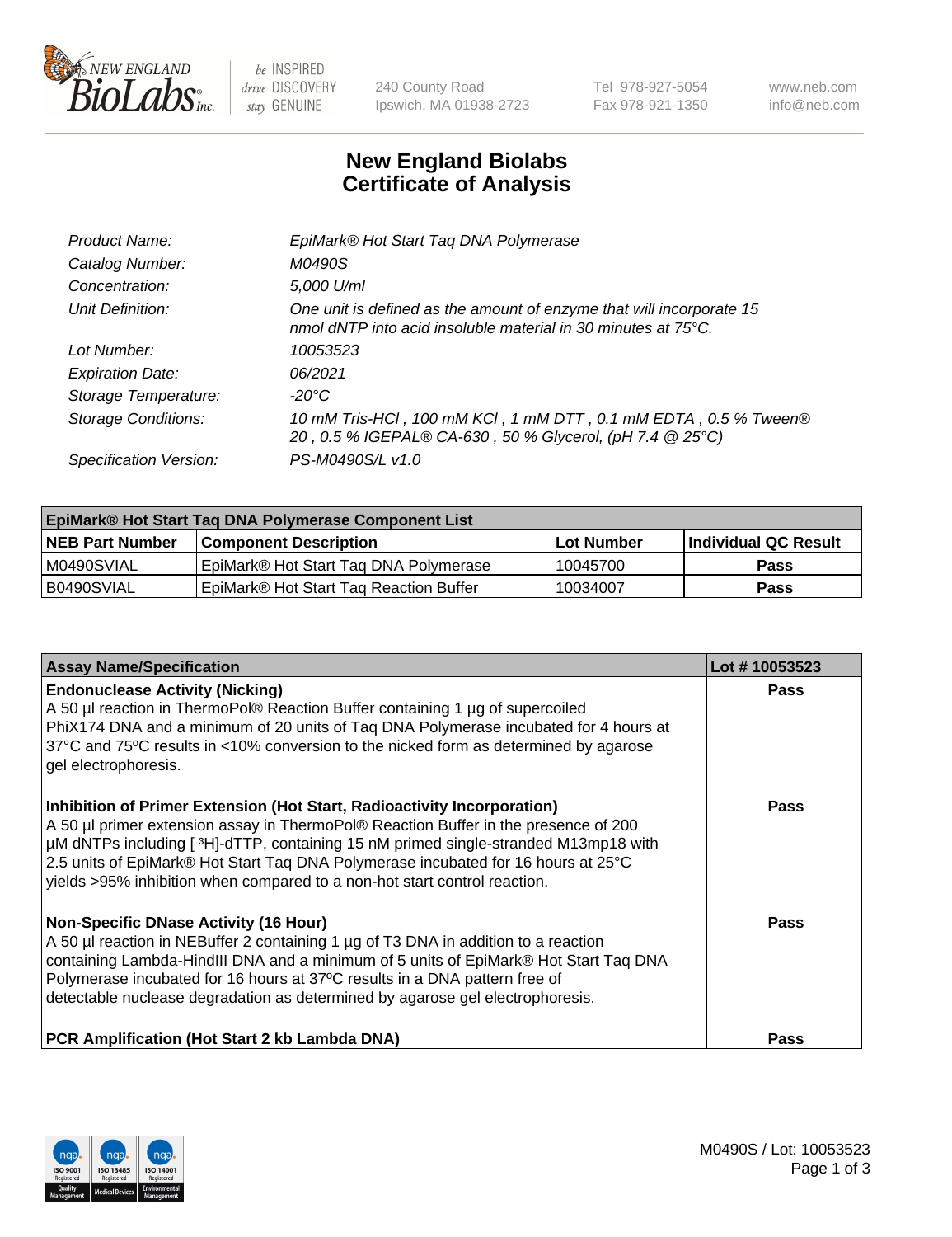

 $be$  INSPIRED drive DISCOVERY stay GENUINE

240 County Road Ipswich, MA 01938-2723 Tel 978-927-5054 Fax 978-921-1350 www.neb.com info@neb.com

## **New England Biolabs Certificate of Analysis**

| EpiMark® Hot Start Tag DNA Polymerase                                                                                                           |
|-------------------------------------------------------------------------------------------------------------------------------------------------|
| M0490S                                                                                                                                          |
| 5,000 U/ml                                                                                                                                      |
| One unit is defined as the amount of enzyme that will incorporate 15<br>nmol dNTP into acid insoluble material in 30 minutes at $75^{\circ}$ C. |
| 10053523                                                                                                                                        |
| 06/2021                                                                                                                                         |
| $-20^{\circ}$ C                                                                                                                                 |
| 10 mM Tris-HCl, 100 mM KCl, 1 mM DTT, 0.1 mM EDTA, 0.5 % Tween®<br>20, 0.5 % IGEPAL® CA-630, 50 % Glycerol, (pH 7.4 @ 25°C)                     |
| PS-M0490S/L v1.0                                                                                                                                |
|                                                                                                                                                 |

| <b>EpiMark® Hot Start Taq DNA Polymerase Component List</b> |                                        |              |                      |  |  |
|-------------------------------------------------------------|----------------------------------------|--------------|----------------------|--|--|
| <b>NEB Part Number</b>                                      | <b>Component Description</b>           | l Lot Number | Individual QC Result |  |  |
| I M0490SVIAL                                                | EpiMark® Hot Start Tag DNA Polymerase  | 10045700     | <b>Pass</b>          |  |  |
| B0490SVIAL                                                  | EpiMark® Hot Start Tag Reaction Buffer | 10034007     | Pass                 |  |  |

| <b>Assay Name/Specification</b>                                                                                                                                                                                                                                                                                                                                                                                        | Lot #10053523 |
|------------------------------------------------------------------------------------------------------------------------------------------------------------------------------------------------------------------------------------------------------------------------------------------------------------------------------------------------------------------------------------------------------------------------|---------------|
| <b>Endonuclease Activity (Nicking)</b><br>A 50 µl reaction in ThermoPol® Reaction Buffer containing 1 µg of supercoiled<br>PhiX174 DNA and a minimum of 20 units of Tag DNA Polymerase incubated for 4 hours at<br>37°C and 75°C results in <10% conversion to the nicked form as determined by agarose<br>gel electrophoresis.                                                                                        | <b>Pass</b>   |
| Inhibition of Primer Extension (Hot Start, Radioactivity Incorporation)<br>A 50 µl primer extension assay in ThermoPol® Reaction Buffer in the presence of 200<br>µM dNTPs including [3H]-dTTP, containing 15 nM primed single-stranded M13mp18 with<br>2.5 units of EpiMark® Hot Start Taq DNA Polymerase incubated for 16 hours at 25°C<br>yields >95% inhibition when compared to a non-hot start control reaction. | <b>Pass</b>   |
| <b>Non-Specific DNase Activity (16 Hour)</b><br>A 50 µl reaction in NEBuffer 2 containing 1 µg of T3 DNA in addition to a reaction<br>containing Lambda-HindIII DNA and a minimum of 5 units of EpiMark® Hot Start Taq DNA<br>Polymerase incubated for 16 hours at 37°C results in a DNA pattern free of<br>detectable nuclease degradation as determined by agarose gel electrophoresis.                              | Pass          |
| <b>PCR Amplification (Hot Start 2 kb Lambda DNA)</b>                                                                                                                                                                                                                                                                                                                                                                   | Pass          |

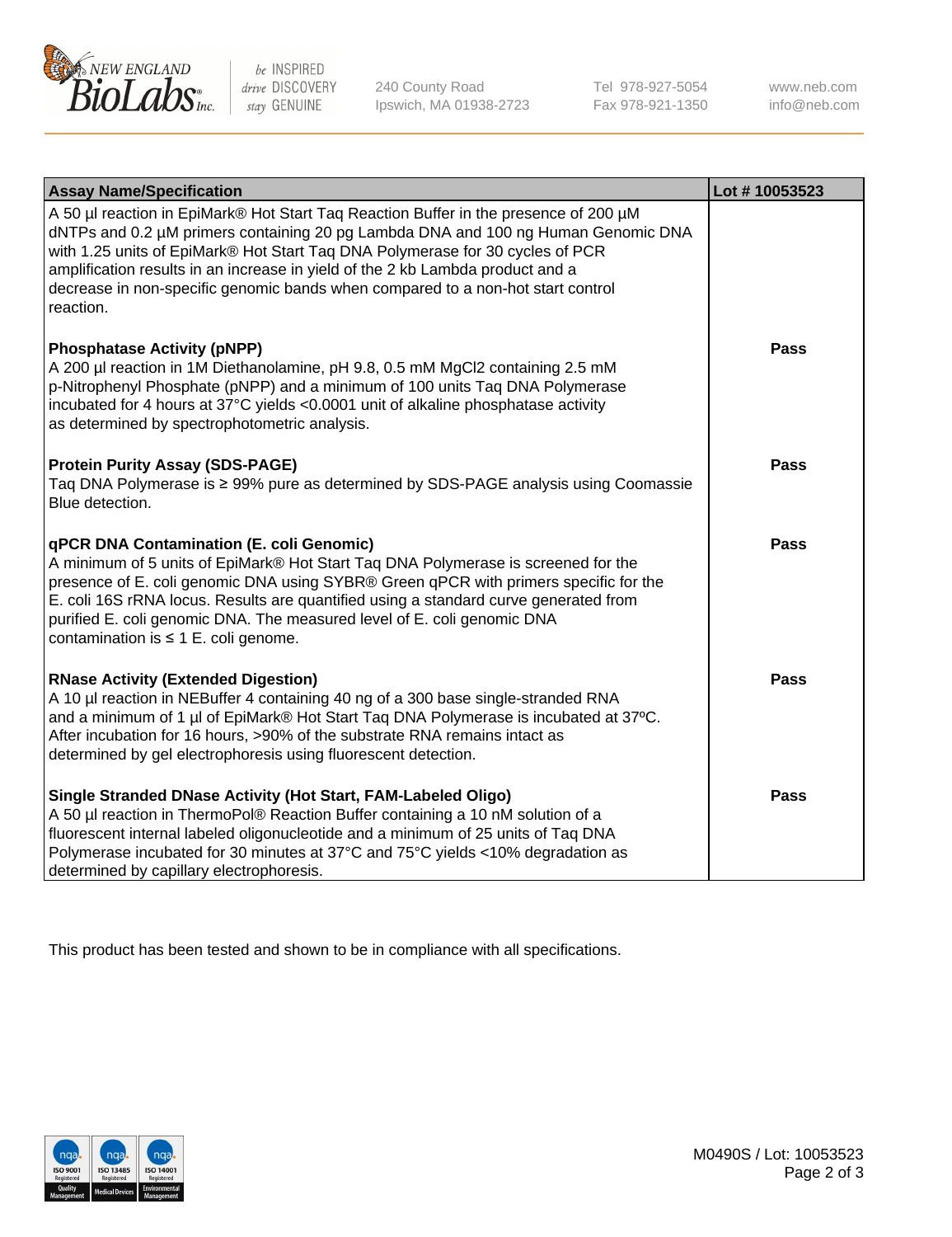

 $be$  INSPIRED drive DISCOVERY stay GENUINE

240 County Road Ipswich, MA 01938-2723 Tel 978-927-5054 Fax 978-921-1350 www.neb.com info@neb.com

| <b>Assay Name/Specification</b>                                                                                                                                                                                                                                                                                                                                                                                                              | Lot #10053523 |
|----------------------------------------------------------------------------------------------------------------------------------------------------------------------------------------------------------------------------------------------------------------------------------------------------------------------------------------------------------------------------------------------------------------------------------------------|---------------|
| A 50 µl reaction in EpiMark® Hot Start Taq Reaction Buffer in the presence of 200 µM<br>dNTPs and 0.2 µM primers containing 20 pg Lambda DNA and 100 ng Human Genomic DNA<br>with 1.25 units of EpiMark® Hot Start Taq DNA Polymerase for 30 cycles of PCR<br>amplification results in an increase in yield of the 2 kb Lambda product and a<br>decrease in non-specific genomic bands when compared to a non-hot start control<br>reaction. |               |
| <b>Phosphatase Activity (pNPP)</b><br>A 200 µl reaction in 1M Diethanolamine, pH 9.8, 0.5 mM MgCl2 containing 2.5 mM<br>p-Nitrophenyl Phosphate (pNPP) and a minimum of 100 units Taq DNA Polymerase<br>incubated for 4 hours at 37°C yields <0.0001 unit of alkaline phosphatase activity<br>as determined by spectrophotometric analysis.                                                                                                  | <b>Pass</b>   |
| <b>Protein Purity Assay (SDS-PAGE)</b><br>Taq DNA Polymerase is ≥ 99% pure as determined by SDS-PAGE analysis using Coomassie<br>Blue detection.                                                                                                                                                                                                                                                                                             | <b>Pass</b>   |
| qPCR DNA Contamination (E. coli Genomic)<br>A minimum of 5 units of EpiMark® Hot Start Taq DNA Polymerase is screened for the<br>presence of E. coli genomic DNA using SYBR® Green qPCR with primers specific for the<br>E. coli 16S rRNA locus. Results are quantified using a standard curve generated from<br>purified E. coli genomic DNA. The measured level of E. coli genomic DNA<br>contamination is $\leq 1$ E. coli genome.        | <b>Pass</b>   |
| <b>RNase Activity (Extended Digestion)</b><br>A 10 µl reaction in NEBuffer 4 containing 40 ng of a 300 base single-stranded RNA<br>and a minimum of 1 µl of EpiMark® Hot Start Taq DNA Polymerase is incubated at 37°C.<br>After incubation for 16 hours, >90% of the substrate RNA remains intact as<br>determined by gel electrophoresis using fluorescent detection.                                                                      | <b>Pass</b>   |
| Single Stranded DNase Activity (Hot Start, FAM-Labeled Oligo)<br>A 50 µl reaction in ThermoPol® Reaction Buffer containing a 10 nM solution of a<br>fluorescent internal labeled oligonucleotide and a minimum of 25 units of Taq DNA<br>Polymerase incubated for 30 minutes at 37°C and 75°C yields <10% degradation as<br>determined by capillary electrophoresis.                                                                         | <b>Pass</b>   |

This product has been tested and shown to be in compliance with all specifications.